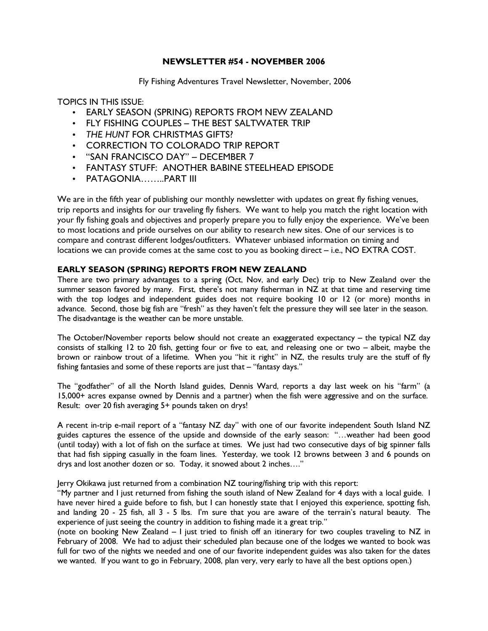# NEWSLETTER #54 - NOVEMBER 2006

Fly Fishing Adventures Travel Newsletter, November, 2006

TOPICS IN THIS ISSUE:

- EARLY SEASON (SPRING) REPORTS FROM NEW ZEALAND
- FLY FISHING COUPLES THE BEST SALTWATER TRIP
- THE HUNT FOR CHRISTMAS GIFTS?
- CORRECTION TO COLORADO TRIP REPORT
- "SAN FRANCISCO DAY" DECEMBER 7
- FANTASY STUFF: ANOTHER BABINE STEELHEAD EPISODE
- PATAGONIA……..PART III

We are in the fifth year of publishing our monthly newsletter with updates on great fly fishing venues, trip reports and insights for our traveling fly fishers. We want to help you match the right location with your fly fishing goals and objectives and properly prepare you to fully enjoy the experience. We've been to most locations and pride ourselves on our ability to research new sites. One of our services is to compare and contrast different lodges/outfitters. Whatever unbiased information on timing and locations we can provide comes at the same cost to you as booking direct – i.e., NO EXTRA COST.

# EARLY SEASON (SPRING) REPORTS FROM NEW ZEALAND

There are two primary advantages to a spring (Oct, Nov, and early Dec) trip to New Zealand over the summer season favored by many. First, there's not many fisherman in NZ at that time and reserving time with the top lodges and independent guides does not require booking 10 or 12 (or more) months in advance. Second, those big fish are "fresh" as they haven't felt the pressure they will see later in the season. The disadvantage is the weather can be more unstable.

The October/November reports below should not create an exaggerated expectancy – the typical NZ day consists of stalking 12 to 20 fish, getting four or five to eat, and releasing one or two – albeit, maybe the brown or rainbow trout of a lifetime. When you "hit it right" in NZ, the results truly are the stuff of fly fishing fantasies and some of these reports are just that – "fantasy days."

The "godfather" of all the North Island guides, Dennis Ward, reports a day last week on his "farm" (a 15,000+ acres expanse owned by Dennis and a partner) when the fish were aggressive and on the surface. Result: over 20 fish averaging 5+ pounds taken on drys!

A recent in-trip e-mail report of a "fantasy NZ day" with one of our favorite independent South Island NZ guides captures the essence of the upside and downside of the early season: "…weather had been good (until today) with a lot of fish on the surface at times. We just had two consecutive days of big spinner falls that had fish sipping casually in the foam lines. Yesterday, we took 12 browns between 3 and 6 pounds on drys and lost another dozen or so. Today, it snowed about 2 inches…."

Jerry Okikawa just returned from a combination NZ touring/fishing trip with this report:

"My partner and I just returned from fishing the south island of New Zealand for 4 days with a local guide. I have never hired a guide before to fish, but I can honestly state that I enjoyed this experience, spotting fish, and landing 20 - 25 fish, all 3 - 5 lbs. I'm sure that you are aware of the terrain's natural beauty. The experience of just seeing the country in addition to fishing made it a great trip."

(note on booking New Zealand – I just tried to finish off an itinerary for two couples traveling to NZ in February of 2008. We had to adjust their scheduled plan because one of the lodges we wanted to book was full for two of the nights we needed and one of our favorite independent guides was also taken for the dates we wanted. If you want to go in February, 2008, plan very, very early to have all the best options open.)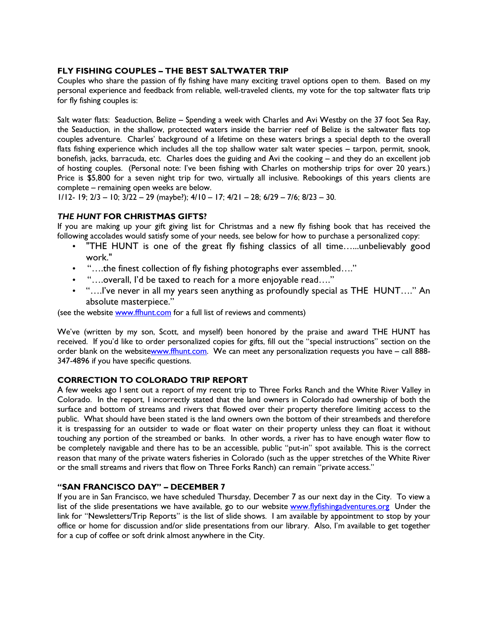## FLY FISHING COUPLES – THE BEST SALTWATER TRIP

Couples who share the passion of fly fishing have many exciting travel options open to them. Based on my personal experience and feedback from reliable, well-traveled clients, my vote for the top saltwater flats trip for fly fishing couples is:

Salt water flats: Seaduction, Belize – Spending a week with Charles and Avi Westby on the 37 foot Sea Ray, the Seaduction, in the shallow, protected waters inside the barrier reef of Belize is the saltwater flats top couples adventure. Charles' background of a lifetime on these waters brings a special depth to the overall flats fishing experience which includes all the top shallow water salt water species – tarpon, permit, snook, bonefish, jacks, barracuda, etc. Charles does the guiding and Avi the cooking – and they do an excellent job of hosting couples. (Personal note: I've been fishing with Charles on mothership trips for over 20 years.) Price is \$5,800 for a seven night trip for two, virtually all inclusive. Rebookings of this years clients are complete – remaining open weeks are below.

1/12- 19; 2/3 – 10; 3/22 – 29 (maybe?); 4/10 – 17; 4/21 – 28; 6/29 – 7/6; 8/23 – 30.

## THE HUNT FOR CHRISTMAS GIFTS?

If you are making up your gift giving list for Christmas and a new fly fishing book that has received the following accolades would satisfy some of your needs, see below for how to purchase a personalized copy:

- "THE HUNT is one of the great fly fishing classics of all time…...unbelievably good work."
- "….the finest collection of fly fishing photographs ever assembled…."
- "….overall, I'd be taxed to reach for a more enjoyable read…."
- "….I've never in all my years seen anything as profoundly special as THE HUNT…." An absolute masterpiece."

(see the website www.ffhunt.com for a full list of reviews and comments)

We've (written by my son, Scott, and myself) been honored by the praise and award THE HUNT has received. If you'd like to order personalized copies for gifts, fill out the "special instructions" section on the order blank on the websitewww.ffhunt.com. We can meet any personalization requests you have – call 888-347-4896 if you have specific questions.

#### CORRECTION TO COLORADO TRIP REPORT

A few weeks ago I sent out a report of my recent trip to Three Forks Ranch and the White River Valley in Colorado. In the report, I incorrectly stated that the land owners in Colorado had ownership of both the surface and bottom of streams and rivers that flowed over their property therefore limiting access to the public. What should have been stated is the land owners own the bottom of their streambeds and therefore it is trespassing for an outsider to wade or float water on their property unless they can float it without touching any portion of the streambed or banks. In other words, a river has to have enough water flow to be completely navigable and there has to be an accessible, public "put-in" spot available. This is the correct reason that many of the private waters fisheries in Colorado (such as the upper stretches of the White River or the small streams and rivers that flow on Three Forks Ranch) can remain "private access."

# "SAN FRANCISCO DAY" – DECEMBER 7

If you are in San Francisco, we have scheduled Thursday, December 7 as our next day in the City. To view a list of the slide presentations we have available, go to our website www.flyfishingadventures.org Under the link for "Newsletters/Trip Reports" is the list of slide shows. I am available by appointment to stop by your office or home for discussion and/or slide presentations from our library. Also, I'm available to get together for a cup of coffee or soft drink almost anywhere in the City.